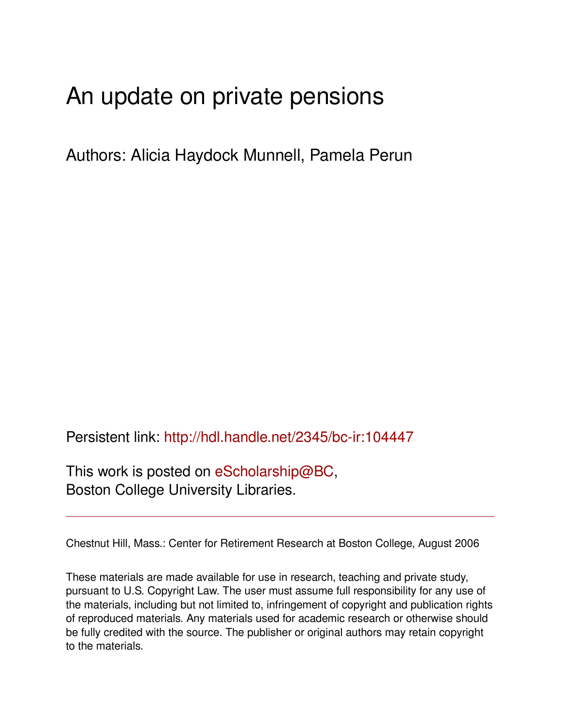# An update on private pensions

Authors: Alicia Haydock Munnell, Pamela Perun

Persistent link: <http://hdl.handle.net/2345/bc-ir:104447>

This work is posted on [eScholarship@BC](http://escholarship.bc.edu), Boston College University Libraries.

Chestnut Hill, Mass.: Center for Retirement Research at Boston College, August 2006

These materials are made available for use in research, teaching and private study, pursuant to U.S. Copyright Law. The user must assume full responsibility for any use of the materials, including but not limited to, infringement of copyright and publication rights of reproduced materials. Any materials used for academic research or otherwise should be fully credited with the source. The publisher or original authors may retain copyright to the materials.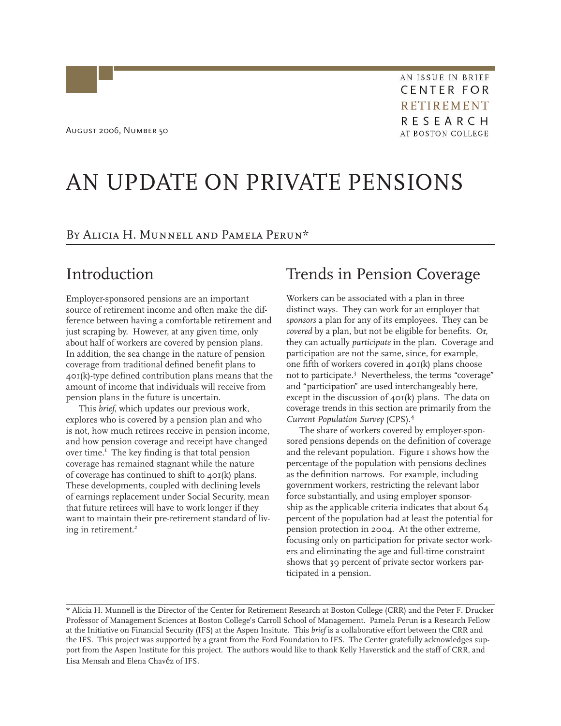August 2006, Number 50

AN ISSUE IN BRIEF **CENTER FOR RETIREMENT** RESEARCH **AT BOSTON COLLEGE** 

# AN UPDATE ON PRIVATE PENSIONS

By Alicia H. Munnell and Pamela Perun\*

## Introduction

Employer-sponsored pensions are an important source of retirement income and often make the difference between having a comfortable retirement and just scraping by. However, at any given time, only about half of workers are covered by pension plans. In addition, the sea change in the nature of pension coverage from traditional defined benefit plans to 401(k)-type defined contribution plans means that the amount of income that individuals will receive from pension plans in the future is uncertain.

This *brief*, which updates our previous work, explores who is covered by a pension plan and who is not, how much retirees receive in pension income, and how pension coverage and receipt have changed over time.<sup>1</sup> The key finding is that total pension coverage has remained stagnant while the nature of coverage has continued to shift to 401(k) plans. These developments, coupled with declining levels of earnings replacement under Social Security, mean that future retirees will have to work longer if they want to maintain their pre-retirement standard of living in retirement.*<sup>2</sup>*

## Trends in Pension Coverage

Workers can be associated with a plan in three distinct ways. They can work for an employer that *sponsors* a plan for any of its employees. They can be *covered* by a plan, but not be eligible for benefits. Or, they can actually *participate* in the plan. Coverage and participation are not the same, since, for example, one fifth of workers covered in 401(k) plans choose not to participate.3 Nevertheless, the terms "coverage" and "participation" are used interchangeably here, except in the discussion of 401(k) plans. The data on coverage trends in this section are primarily from the *Current Population Survey* (CPS).4

The share of workers covered by employer-sponsored pensions depends on the definition of coverage and the relevant population. Figure 1 shows how the percentage of the population with pensions declines as the definition narrows. For example, including government workers, restricting the relevant labor force substantially, and using employer sponsorship as the applicable criteria indicates that about 64 percent of the population had at least the potential for pension protection in 2004. At the other extreme, focusing only on participation for private sector workers and eliminating the age and full-time constraint shows that 39 percent of private sector workers participated in a pension.

<sup>\*</sup> Alicia H. Munnell is the Director of the Center for Retirement Research at Boston College (CRR) and the Peter F. Drucker Professor of Management Sciences at Boston College's Carroll School of Management. Pamela Perun is a Research Fellow at the Initiative on Financial Security (IFS) at the Aspen Insitute. This *brief* is a collaborative effort between the CRR and the IFS. This project was supported by a grant from the Ford Foundation to IFS. The Center gratefully acknowledges support from the Aspen Institute for this project. The authors would like to thank Kelly Haverstick and the staff of CRR, and Lisa Mensah and Elena Chavéz of IFS.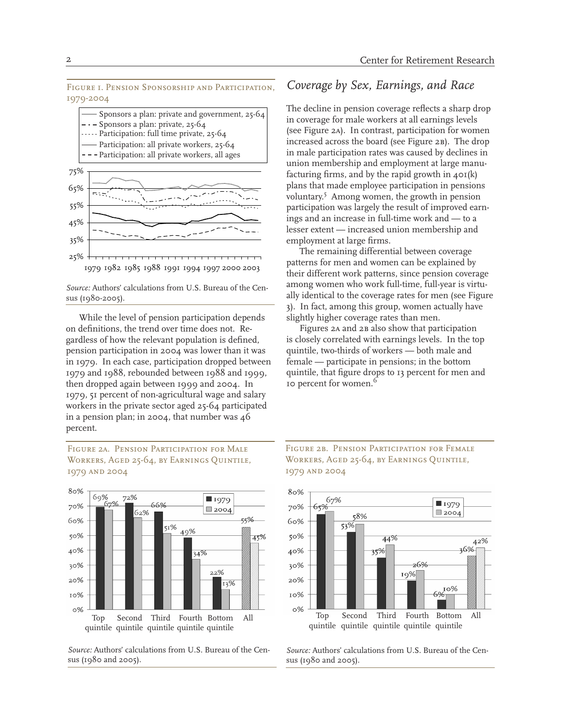Figure 1. Pension Sponsorship and Participation, 1979-2004



*Source:* Authors' calculations from U.S. Bureau of the Census (1980-2005).

While the level of pension participation depends on definitions, the trend over time does not. Regardless of how the relevant population is defined, pension participation in 2004 was lower than it was in 1979. In each case, participation dropped between 1979 and 1988, rebounded between 1988 and 1999, then dropped again between 1999 and 2004. In 1979, 51 percent of non-agricultural wage and salary workers in the private sector aged 25-64 participated in a pension plan; in 2004, that number was 46 percent.

Figure 2a. Pension Participation for Male Workers, Aged 25-64, by Earnings Quintile, 1979 and 2004



*Source:* Authors' calculations from U.S. Bureau of the Census (1980 and 2005).

### *Coverage by Sex, Earnings, and Race*

The decline in pension coverage reflects a sharp drop in coverage for male workers at all earnings levels (see Figure 2a). In contrast, participation for women increased across the board (see Figure 2B). The drop in male participation rates was caused by declines in union membership and employment at large manufacturing firms, and by the rapid growth in  $40I(k)$ plans that made employee participation in pensions voluntary.5 Among women, the growth in pension participation was largely the result of improved earnings and an increase in full-time work and — to a lesser extent — increased union membership and employment at large firms.

The remaining differential between coverage patterns for men and women can be explained by their different work patterns, since pension coverage among women who work full-time, full-year is virtually identical to the coverage rates for men (see Figure 3). In fact, among this group, women actually have slightly higher coverage rates than men.

Figures 2a and 2b also show that participation is closely correlated with earnings levels. In the top quintile, two-thirds of workers — both male and female — participate in pensions; in the bottom quintile, that figure drops to 13 percent for men and 10 percent for women.<sup>6</sup>





*Source:* Authors' calculations from U.S. Bureau of the Census (1980 and 2005).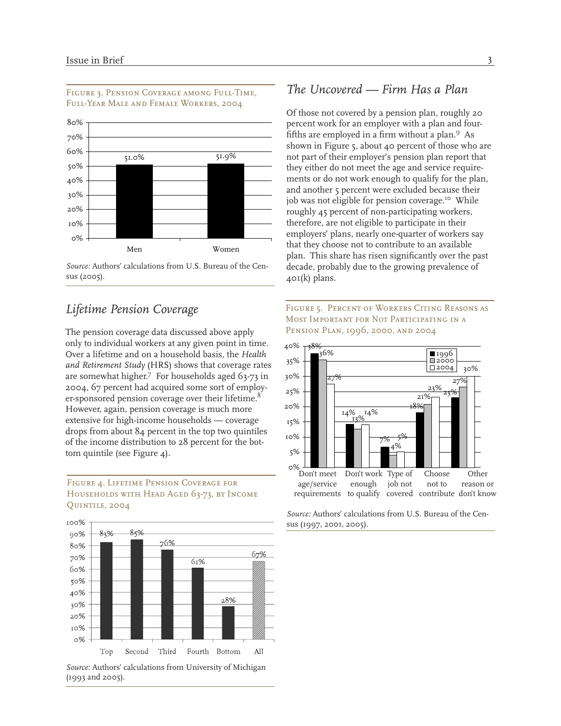

#### Figure 3. Pension Coverage among Full-Time, Full-Year Male and Female Workers, 2004

### *Lifetime Pension Coverage*

The pension coverage data discussed above apply only to individual workers at any given point in time. Over a lifetime and on a household basis, the *Health and Retirement Study* (HRS) shows that coverage rates are somewhat higher.7 For households aged 63-73 in 2004, 67 percent had acquired some sort of employer-sponsored pension coverage over their lifetime.<sup>8</sup> However, again, pension coverage is much more extensive for high-income households — coverage drops from about 84 percent in the top two quintiles of the income distribution to 28 percent for the bottom quintile (see Figure 4).

#### Figure 4. Lifetime Pension Coverage for HOUSEHOLDS WITH HEAD AGED 63-73, BY INCOME Quintile, 2004



*Source:* Authors' calculations from University of Michigan (1993 and 2005).

### *The Uncovered — Firm Has a Plan*

Of those not covered by a pension plan, roughly 20 percent work for an employer with a plan and fourfifths are employed in a firm without a plan.9 As shown in Figure 5, about 40 percent of those who are not part of their employer's pension plan report that they either do not meet the age and service requirements or do not work enough to qualify for the plan, and another 5 percent were excluded because their job was not eligible for pension coverage.<sup>10</sup> While roughly 45 percent of non-participating workers, therefore, are not eligible to participate in their employers' plans, nearly one-quarter of workers say that they choose not to contribute to an available plan. This share has risen significantly over the past decade, probably due to the growing prevalence of 401(k) plans.





*Source:* Authors' calculations from U.S. Bureau of the Census (1997, 2001, 2005).

*Source:* Authors' calculations from U.S. Bureau of the Census (2005).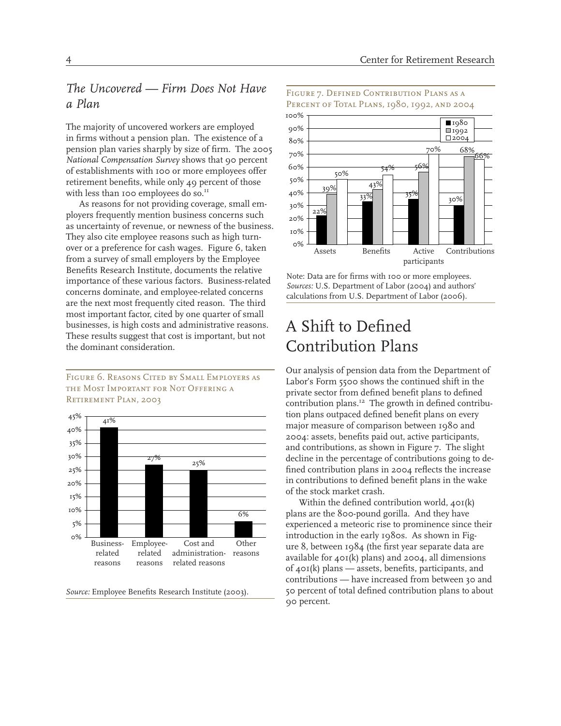### *The Uncovered — Firm Does Not Have a Plan*

The majority of uncovered workers are employed in firms without a pension plan. The existence of a pension plan varies sharply by size of firm. The 2005 *National Compensation Survey* shows that 90 percent of establishments with 100 or more employees offer retirement benefits, while only 49 percent of those with less than 100 employees do so.<sup>11</sup>

As reasons for not providing coverage, small employers frequently mention business concerns such as uncertainty of revenue, or newness of the business. They also cite employee reasons such as high turnover or a preference for cash wages. Figure 6, taken from a survey of small employers by the Employee Benefits Research Institute, documents the relative importance of these various factors. Business-related concerns dominate, and employee-related concerns are the next most frequently cited reason. The third most important factor, cited by one quarter of small businesses, is high costs and administrative reasons. These results suggest that cost is important, but not the dominant consideration.

#### Figure 6. Reasons Cited by Small Employers as the Most Important for Not Offering a Retirement Plan, 2003



*Source:* Employee Benefits Research Institute (2003).

#### Figure 7. Defined Contribution Plans as a PERCENT OF TOTAL PLANS, 1980, 1992, AND 2004



Note: Data are for firms with 100 or more employees. *Sources:* U.S. Department of Labor (2004) and authors' calculations from U.S. Department of Labor (2006).

# A Shift to Defined Contribution Plans

Our analysis of pension data from the Department of Labor's Form 5500 shows the continued shift in the private sector from defined benefit plans to defined contribution plans.<sup>12</sup> The growth in defined contribution plans outpaced defined benefit plans on every major measure of comparison between 1980 and 2004: assets, benefits paid out, active participants, and contributions, as shown in Figure 7. The slight decline in the percentage of contributions going to defined contribution plans in 2004 reflects the increase in contributions to defined benefit plans in the wake of the stock market crash.

Within the defined contribution world, 401(k) plans are the 800-pound gorilla. And they have experienced a meteoric rise to prominence since their introduction in the early 1980s. As shown in Figure 8, between 1984 (the first year separate data are available for 401(k) plans) and 2004, all dimensions of 401(k) plans — assets, benefits, participants, and contributions — have increased from between 30 and 50 percent of total defined contribution plans to about 90 percent.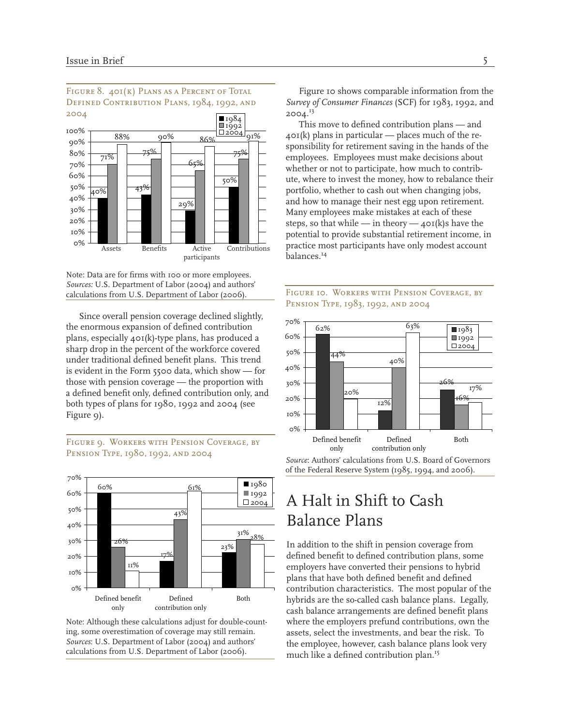

FIGURE 8. 401(K) PLANS AS A PERCENT OF TOTAL DEFINED CONTRIBUTION PLANS, 1984, 1992, AND

Note: Data are for firms with 100 or more employees. *Sources:* U.S. Department of Labor (2004) and authors' calculations from U.S. Department of Labor (2006).

Since overall pension coverage declined slightly, the enormous expansion of defined contribution plans, especially 401(k)-type plans, has produced a sharp drop in the percent of the workforce covered under traditional defined benefit plans. This trend is evident in the Form 5500 data, which show — for those with pension coverage — the proportion with a defined benefit only, defined contribution only, and both types of plans for 1980, 1992 and 2004 (see Figure 9).

FIGURE 9. WORKERS WITH PENSION COVERAGE, BY Pension Type, 1980, 1992, and 2004



Note: Although these calculations adjust for double-counting, some overestimation of coverage may still remain. *Sources*: U.S. Department of Labor (2004) and authors' calculations from U.S. Department of Labor (2006).

Figure 10 shows comparable information from the *Survey of Consumer Finances* (SCF) for 1983, 1992, and 2004.13

This move to defined contribution plans — and  $40I(k)$  plans in particular — places much of the responsibility for retirement saving in the hands of the employees. Employees must make decisions about whether or not to participate, how much to contribute, where to invest the money, how to rebalance their portfolio, whether to cash out when changing jobs, and how to manage their nest egg upon retirement. Many employees make mistakes at each of these steps, so that while — in theory —  $40I(k)$ s have the potential to provide substantial retirement income, in practice most participants have only modest account balances.14



#### Figure 10. Workers with Pension Coverage, by PENSION TYPE, 1983, 1992, AND 2004

*Source*: Authors' calculations from U.S. Board of Governors of the Federal Reserve System (1985, 1994, and 2006).

# A Halt in Shift to Cash Balance Plans

In addition to the shift in pension coverage from defined benefit to defined contribution plans, some employers have converted their pensions to hybrid plans that have both defined benefit and defined contribution characteristics. The most popular of the hybrids are the so-called cash balance plans. Legally, cash balance arrangements are defined benefit plans where the employers prefund contributions, own the assets, select the investments, and bear the risk. To the employee, however, cash balance plans look very much like a defined contribution plan.15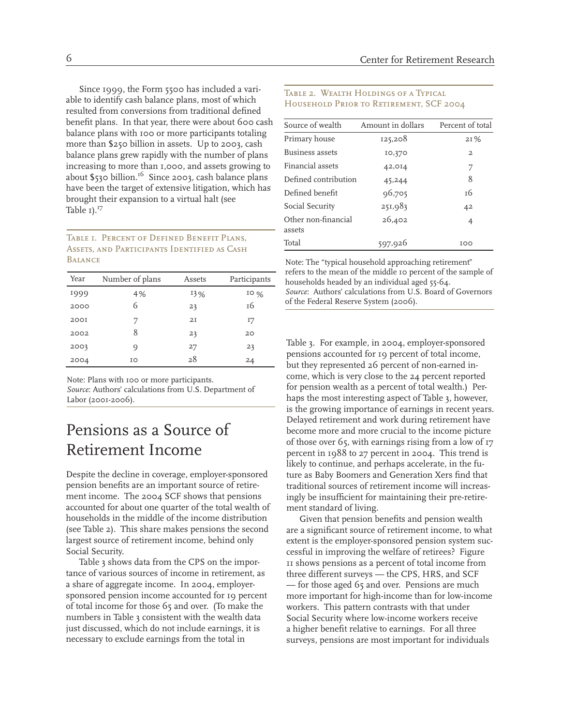Since 1999, the Form 5500 has included a variable to identify cash balance plans, most of which resulted from conversions from traditional defined benefit plans. In that year, there were about 600 cash balance plans with 100 or more participants totaling more than \$250 billion in assets. Up to 2003, cash balance plans grew rapidly with the number of plans increasing to more than 1,000, and assets growing to about  $$530$  billion.<sup>16</sup> Since 2003, cash balance plans have been the target of extensive litigation, which has brought their expansion to a virtual halt (see Table 1).<sup>17</sup>

#### Table 1. Percent of Defined Benefit Plans, Assets, and Participants Identified as Cash **BALANCE**

| Year        | Number of plans | Assets | Participants |
|-------------|-----------------|--------|--------------|
| 1999        | 4%              | 13%    | 10%          |
| 2000        | 6               | 23     | 16           |
| <b>200I</b> |                 | 2I     | 17           |
| 2002        | 8               | 23     | 20           |
| 2003        | O)              | 27     | 23           |
| 2004        | IΟ              | 28     | 24           |

Note: Plans with 100 or more participants. *Source*: Authors' calculations from U.S. Department of Labor (2001-2006).

# Pensions as a Source of Retirement Income

Despite the decline in coverage, employer-sponsored pension benefits are an important source of retirement income. The 2004 SCF shows that pensions accounted for about one quarter of the total wealth of households in the middle of the income distribution (see Table 2). This share makes pensions the second largest source of retirement income, behind only Social Security.

Table 3 shows data from the CPS on the importance of various sources of income in retirement, as a share of aggregate income. In 2004, employersponsored pension income accounted for 19 percent of total income for those 65 and over. (To make the numbers in Table 3 consistent with the wealth data just discussed, which do not include earnings, it is necessary to exclude earnings from the total in

#### TABLE 2. WEALTH HOLDINGS OF A TYPICAL Household Prior to Retirement, SCF 2004

| Source of wealth              | Amount in dollars | Percent of total |
|-------------------------------|-------------------|------------------|
| Primary house                 | 125,208           | 21%              |
| Business assets               | 10,370            | $\mathbf{2}$     |
| Financial assets              | 42,014            | 7                |
| Defined contribution          | 45,244            | 8                |
| Defined benefit               | 96,705            | т6               |
| Social Security               | 251,983           | 42               |
| Other non-financial<br>assets | 26,402            | $\overline{4}$   |
| Total                         | 597,926           | TOO              |

Note: The "typical household approaching retirement" refers to the mean of the middle 10 percent of the sample of households headed by an individual aged 55-64. *Source*: Authors' calculations from U.S. Board of Governors of the Federal Reserve System (2006).

Table 3. For example, in 2004, employer-sponsored pensions accounted for 19 percent of total income, but they represented 26 percent of non-earned income, which is very close to the 24 percent reported for pension wealth as a percent of total wealth.) Perhaps the most interesting aspect of Table 3, however, is the growing importance of earnings in recent years. Delayed retirement and work during retirement have become more and more crucial to the income picture of those over 65, with earnings rising from a low of 17 percent in 1988 to 27 percent in 2004. This trend is likely to continue, and perhaps accelerate, in the future as Baby Boomers and Generation Xers find that traditional sources of retirement income will increasingly be insufficient for maintaining their pre-retirement standard of living.

Given that pension benefits and pension wealth are a significant source of retirement income, to what extent is the employer-sponsored pension system successful in improving the welfare of retirees? Figure 11 shows pensions as a percent of total income from three different surveys — the CPS, HRS, and SCF — for those aged 65 and over. Pensions are much more important for high-income than for low-income workers. This pattern contrasts with that under Social Security where low-income workers receive a higher benefit relative to earnings. For all three surveys, pensions are most important for individuals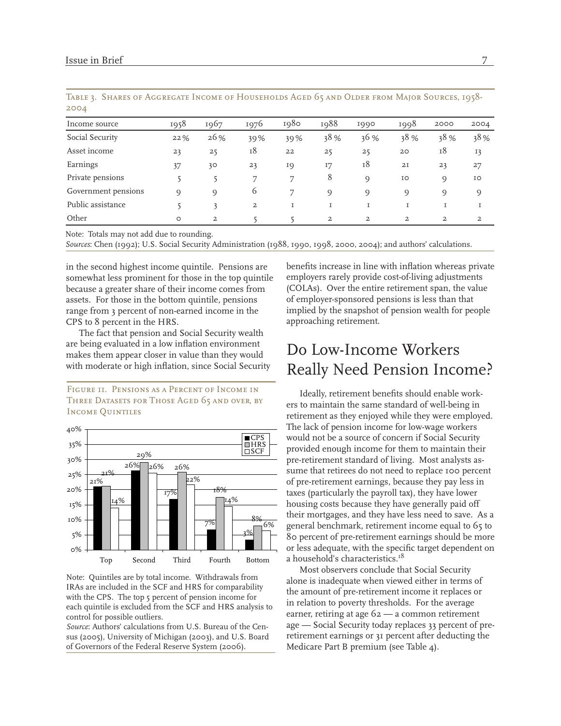| 2004                |          |                |                |      |      |                |                |                |                |
|---------------------|----------|----------------|----------------|------|------|----------------|----------------|----------------|----------------|
| Income source       | 1958     | 1967           | 1976           | 1980 | 1988 | 1990           | 1998           | 2000           | 2004           |
| Social Security     | 22%      | 26%            | 39%            | 39%  | 38%  | 36 %           | 38 %           | 38%            | 38%            |
| Asset income        | 23       | 25             | 18             | 22   | 25   | 25             | 20             | 18             | 13             |
| Earnings            | 37       | 30             | 23             | IQ   | I7   | 18             | 2I             | 23             | 27             |
| Private pensions    |          |                | ד              | 7    | 8    | $\circ$        | IO             | 9              | IO             |
| Government pensions | $\Omega$ | $\circ$        | $\circ$        | ヮ    | O)   | Q)             | O)             | O)             | 9              |
| Public assistance   |          | 3              | $\overline{a}$ |      | I    | T              |                | I              |                |
| Other               | $\circ$  | $\overline{a}$ |                |      | 2    | $\overline{a}$ | $\overline{a}$ | $\overline{a}$ | $\overline{a}$ |

Table 3. Shares of Aggregate Income of Households Aged 65 and Older from Major Sources, 1958- 2004

Note: Totals may not add due to rounding.

*Sources*: Chen (1992); U.S. Social Security Administration (1988, 1990, 1998, 2000, 2004); and authors' calculations.

in the second highest income quintile. Pensions are somewhat less prominent for those in the top quintile because a greater share of their income comes from assets. For those in the bottom quintile, pensions range from 3 percent of non-earned income in the CPS to 8 percent in the HRS.

The fact that pension and Social Security wealth are being evaluated in a low inflation environment makes them appear closer in value than they would with moderate or high inflation, since Social Security

Figure 11. Pensions as a Percent of Income in Three Datasets for Those Aged 65 and over, by Income Quintiles



Note: Quintiles are by total income. Withdrawals from IRAs are included in the SCF and HRS for comparability with the CPS. The top 5 percent of pension income for each quintile is excluded from the SCF and HRS analysis to control for possible outliers.

*Source*: Authors' calculations from U.S. Bureau of the Census (2005), University of Michigan (2003), and U.S. Board of Governors of the Federal Reserve System (2006).

benefits increase in line with inflation whereas private employers rarely provide cost-of-living adjustments (COLAs). Over the entire retirement span, the value of employer-sponsored pensions is less than that implied by the snapshot of pension wealth for people approaching retirement.

# Do Low-Income Workers Really Need Pension Income?

Ideally, retirement benefits should enable workers to maintain the same standard of well-being in retirement as they enjoyed while they were employed. The lack of pension income for low-wage workers would not be a source of concern if Social Security provided enough income for them to maintain their pre-retirement standard of living. Most analysts assume that retirees do not need to replace 100 percent of pre-retirement earnings, because they pay less in taxes (particularly the payroll tax), they have lower housing costs because they have generally paid off their mortgages, and they have less need to save. As a general benchmark, retirement income equal to 65 to 80 percent of pre-retirement earnings should be more or less adequate, with the specific target dependent on a household's characteristics.<sup>18</sup>

Most observers conclude that Social Security alone is inadequate when viewed either in terms of the amount of pre-retirement income it replaces or in relation to poverty thresholds. For the average earner, retiring at age 62 — a common retirement age — Social Security today replaces 33 percent of preretirement earnings or 31 percent after deducting the Medicare Part B premium (see Table 4).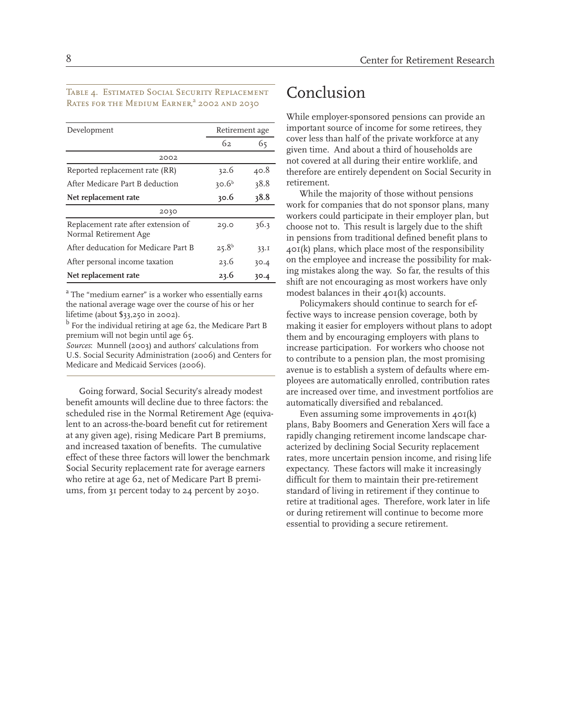#### Table 4. Estimated Social Security Replacement RATES FOR THE MEDIUM EARNER,<sup>a</sup> 2002 and 2030

| Development                                                  |                   | Retirement age |  |  |
|--------------------------------------------------------------|-------------------|----------------|--|--|
|                                                              | 62                | 65             |  |  |
| 2002                                                         |                   |                |  |  |
| Reported replacement rate (RR)                               | 32.6              | 40.8           |  |  |
| After Medicare Part B deduction                              | 30.6 <sup>b</sup> | 38.8           |  |  |
| Net replacement rate                                         | 30.6              | 38.8           |  |  |
| 2030                                                         |                   |                |  |  |
| Replacement rate after extension of<br>Normal Retirement Age | 20.0              | 36.3           |  |  |
| After deducation for Medicare Part B                         | $25.8^{b}$        | 33.1           |  |  |
| After personal income taxation                               | 23.6              | 30.4           |  |  |
| Net replacement rate                                         | 23.6              | 30.4           |  |  |

<sup>a</sup> The "medium earner" is a worker who essentially earns the national average wage over the course of his or her lifetime (about \$33,250 in 2002).

<sup>b</sup> For the individual retiring at age 62, the Medicare Part B premium will not begin until age 65.

*Sources*: Munnell (2003) and authors' calculations from U.S. Social Security Administration (2006) and Centers for Medicare and Medicaid Services (2006).

Going forward, Social Security's already modest benefit amounts will decline due to three factors: the scheduled rise in the Normal Retirement Age (equivalent to an across-the-board benefit cut for retirement at any given age), rising Medicare Part B premiums, and increased taxation of benefits. The cumulative effect of these three factors will lower the benchmark Social Security replacement rate for average earners who retire at age 62, net of Medicare Part B premiums, from 31 percent today to 24 percent by 2030.

### Conclusion

While employer-sponsored pensions can provide an important source of income for some retirees, they cover less than half of the private workforce at any given time. And about a third of households are not covered at all during their entire worklife, and therefore are entirely dependent on Social Security in retirement.

While the majority of those without pensions work for companies that do not sponsor plans, many workers could participate in their employer plan, but choose not to. This result is largely due to the shift in pensions from traditional defined benefit plans to  $40I(k)$  plans, which place most of the responsibility on the employee and increase the possibility for making mistakes along the way. So far, the results of this shift are not encouraging as most workers have only modest balances in their 401(k) accounts.

Policymakers should continue to search for effective ways to increase pension coverage, both by making it easier for employers without plans to adopt them and by encouraging employers with plans to increase participation. For workers who choose not to contribute to a pension plan, the most promising avenue is to establish a system of defaults where employees are automatically enrolled, contribution rates are increased over time, and investment portfolios are automatically diversified and rebalanced.

Even assuming some improvements in 401(k) plans, Baby Boomers and Generation Xers will face a rapidly changing retirement income landscape characterized by declining Social Security replacement rates, more uncertain pension income, and rising life expectancy. These factors will make it increasingly difficult for them to maintain their pre-retirement standard of living in retirement if they continue to retire at traditional ages. Therefore, work later in life or during retirement will continue to become more essential to providing a secure retirement.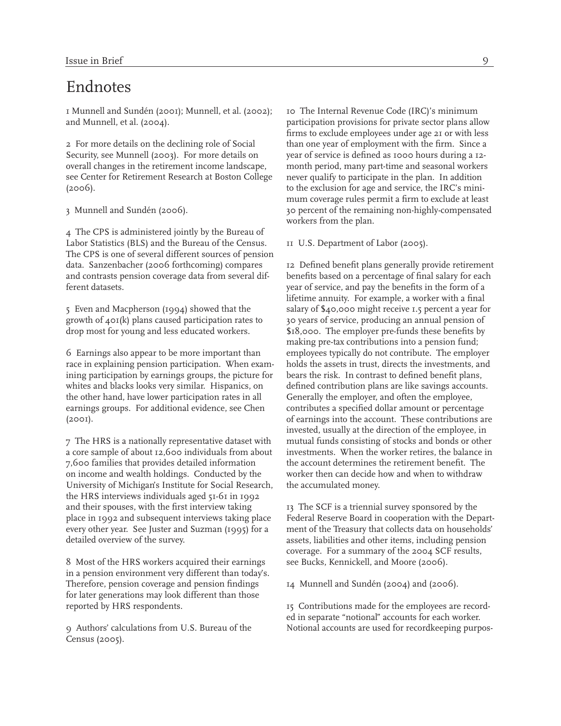### Endnotes

1 Munnell and Sundén (2001); Munnell, et al. (2002); and Munnell, et al. (2004).

2 For more details on the declining role of Social Security, see Munnell (2003). For more details on overall changes in the retirement income landscape, see Center for Retirement Research at Boston College  $(2006)$ .

3 Munnell and Sundén (2006).

4 The CPS is administered jointly by the Bureau of Labor Statistics (BLS) and the Bureau of the Census. The CPS is one of several different sources of pension data. Sanzenbacher (2006 forthcoming) compares and contrasts pension coverage data from several different datasets.

5 Even and Macpherson (1994) showed that the growth of 401(k) plans caused participation rates to drop most for young and less educated workers.

6 Earnings also appear to be more important than race in explaining pension participation. When examining participation by earnings groups, the picture for whites and blacks looks very similar. Hispanics, on the other hand, have lower participation rates in all earnings groups. For additional evidence, see Chen (2001).

7 The HRS is a nationally representative dataset with a core sample of about 12,600 individuals from about 7,600 families that provides detailed information on income and wealth holdings. Conducted by the University of Michigan's Institute for Social Research, the HRS interviews individuals aged 51-61 in 1992 and their spouses, with the first interview taking place in 1992 and subsequent interviews taking place every other year. See Juster and Suzman (1995) for a detailed overview of the survey.

8 Most of the HRS workers acquired their earnings in a pension environment very different than today's. Therefore, pension coverage and pension findings for later generations may look different than those reported by HRS respondents.

9 Authors' calculations from U.S. Bureau of the Census (2005).

10 The Internal Revenue Code (IRC)'s minimum participation provisions for private sector plans allow firms to exclude employees under age 21 or with less than one year of employment with the firm. Since a year of service is defined as 1000 hours during a 12 month period, many part-time and seasonal workers never qualify to participate in the plan. In addition to the exclusion for age and service, the IRC's minimum coverage rules permit a firm to exclude at least 30 percent of the remaining non-highly-compensated workers from the plan.

11 U.S. Department of Labor (2005).

12 Defined benefit plans generally provide retirement benefits based on a percentage of final salary for each year of service, and pay the benefits in the form of a lifetime annuity. For example, a worker with a final salary of \$40,000 might receive 1.5 percent a year for 30 years of service, producing an annual pension of \$18,000. The employer pre-funds these benefits by making pre-tax contributions into a pension fund; employees typically do not contribute. The employer holds the assets in trust, directs the investments, and bears the risk. In contrast to defined benefit plans, defined contribution plans are like savings accounts. Generally the employer, and often the employee, contributes a specified dollar amount or percentage of earnings into the account. These contributions are invested, usually at the direction of the employee, in mutual funds consisting of stocks and bonds or other investments. When the worker retires, the balance in the account determines the retirement benefit. The worker then can decide how and when to withdraw the accumulated money.

13 The SCF is a triennial survey sponsored by the Federal Reserve Board in cooperation with the Department of the Treasury that collects data on households' assets, liabilities and other items, including pension coverage. For a summary of the 2004 SCF results, see Bucks, Kennickell, and Moore (2006).

14 Munnell and Sundén (2004) and (2006).

15 Contributions made for the employees are recorded in separate "notional" accounts for each worker. Notional accounts are used for recordkeeping purpos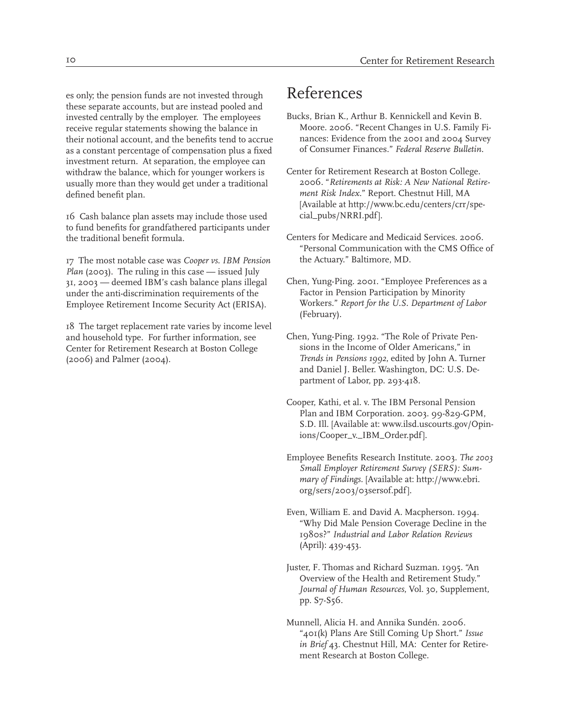es only; the pension funds are not invested through these separate accounts, but are instead pooled and invested centrally by the employer. The employees receive regular statements showing the balance in their notional account, and the benefits tend to accrue as a constant percentage of compensation plus a fixed investment return. At separation, the employee can withdraw the balance, which for younger workers is usually more than they would get under a traditional defined benefit plan.

16 Cash balance plan assets may include those used to fund benefits for grandfathered participants under the traditional benefit formula.

17 The most notable case was *Cooper vs. IBM Pension Plan* (2003). The ruling in this case — issued July 31, 2003 — deemed IBM's cash balance plans illegal under the anti-discrimination requirements of the Employee Retirement Income Security Act (ERISA).

18 The target replacement rate varies by income level and household type. For further information, see Center for Retirement Research at Boston College (2006) and Palmer (2004).

## References

- Bucks, Brian K., Arthur B. Kennickell and Kevin B. Moore. 2006. "Recent Changes in U.S. Family Finances: Evidence from the 2001 and 2004 Survey of Consumer Finances." *Federal Reserve Bulletin*.
- Center for Retirement Research at Boston College. 2006. "*Retirements at Risk: A New National Retirement Risk Index*." Report. Chestnut Hill, MA [Available at http://www.bc.edu/centers/crr/special\_pubs/NRRI.pdf].
- Centers for Medicare and Medicaid Services. 2006. "Personal Communication with the CMS Office of the Actuary." Baltimore, MD.
- Chen, Yung-Ping. 2001. "Employee Preferences as a Factor in Pension Participation by Minority Workers." *Report for the U.S. Department of Labor*  (February).
- Chen, Yung-Ping. 1992. "The Role of Private Pensions in the Income of Older Americans," in *Trends in Pensions 1992*, edited by John A. Turner and Daniel J. Beller. Washington, DC: U.S. Department of Labor, pp. 293-418.
- Cooper, Kathi, et al. v. The IBM Personal Pension Plan and IBM Corporation. 2003. 99-829-GPM, S.D. Ill. [Available at: www.ilsd.uscourts.gov/Opinions/Cooper\_v.\_IBM\_Order.pdf].
- Employee Benefits Research Institute. 2003. *The 2003 Small Employer Retirement Survey (SERS): Summary of Findings.* [Available at: http://www.ebri. org/sers/2003/03sersof.pdf].
- Even, William E. and David A. Macpherson. 1994. "Why Did Male Pension Coverage Decline in the 1980s?" *Industrial and Labor Relation Reviews*  (April): 439-453.
- Juster, F. Thomas and Richard Suzman. 1995. "An Overview of the Health and Retirement Study." *Journal of Human Resources*, Vol. 30, Supplement, pp. S7-S56.
- Munnell, Alicia H. and Annika Sundén. 2006. "401(k) Plans Are Still Coming Up Short." *Issue in Brief* 43. Chestnut Hill, MA: Center for Retirement Research at Boston College.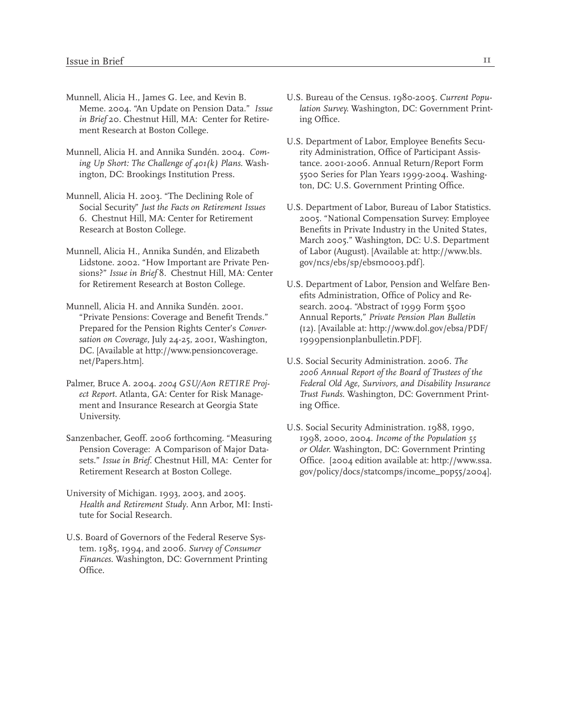- Munnell, Alicia H., James G. Lee, and Kevin B. Meme. 2004. "An Update on Pension Data." *Issue in Brief* 20. Chestnut Hill, MA: Center for Retirement Research at Boston College.
- Munnell, Alicia H. and Annika Sundén. 2004. *Coming Up Short: The Challenge of 401(k) Plans.* Washington, DC: Brookings Institution Press.
- Munnell, Alicia H. 2003. "The Declining Role of Social Security" *Just the Facts on Retirement Issues* 6. Chestnut Hill, MA: Center for Retirement Research at Boston College.
- Munnell, Alicia H., Annika Sundén, and Elizabeth Lidstone. 2002. "How Important are Private Pensions?" *Issue in Brief* 8. Chestnut Hill, MA: Center for Retirement Research at Boston College.
- Munnell, Alicia H. and Annika Sundén. 2001. "Private Pensions: Coverage and Benefit Trends." Prepared for the Pension Rights Center's *Conversation on Coverage,* July 24-25, 2001, Washington, DC. [Available at http://www.pensioncoverage. net/Papers.htm].
- Palmer, Bruce A. 2004. *2004 GSU/Aon RETIRE Project Report*. Atlanta, GA: Center for Risk Management and Insurance Research at Georgia State University.
- Sanzenbacher, Geoff. 2006 forthcoming. "Measuring Pension Coverage: A Comparison of Major Datasets." *Issue in Brief*. Chestnut Hill, MA: Center for Retirement Research at Boston College.
- University of Michigan. 1993, 2003, and 2005. *Health and Retirement Study*. Ann Arbor, MI: Institute for Social Research.
- U.S. Board of Governors of the Federal Reserve System. 1985, 1994, and 2006. *Survey of Consumer Finances*. Washington, DC: Government Printing Office.
- U.S. Bureau of the Census. 1980-2005. *Current Population Survey.* Washington, DC: Government Printing Office.
- U.S. Department of Labor, Employee Benefits Security Administration, Office of Participant Assistance. 2001-2006. Annual Return/Report Form 5500 Series for Plan Years 1999-2004. Washington, DC: U.S. Government Printing Office.
- U.S. Department of Labor, Bureau of Labor Statistics. 2005. "National Compensation Survey: Employee Benefits in Private Industry in the United States, March 2005." Washington, DC: U.S. Department of Labor (August). [Available at: http://www.bls. gov/ncs/ebs/sp/ebsm0003.pdf].
- U.S. Department of Labor, Pension and Welfare Benefits Administration, Office of Policy and Research. 2004. "Abstract of 1999 Form 5500 Annual Reports," *Private Pension Plan Bulletin* (12). [Available at: http://www.dol.gov/ebsa/PDF/ 1999pensionplanbulletin.PDF].
- U.S. Social Security Administration. 2006. *The 2006 Annual Report of the Board of Trustees of the Federal Old Age, Survivors, and Disability Insurance Trust Funds*. Washington, DC: Government Printing Office.
- U.S. Social Security Administration. 1988, 1990, 1998, 2000, 2004. *Income of the Population 55 or Older.* Washington, DC: Government Printing Office. [2004 edition available at: http://www.ssa. gov/policy/docs/statcomps/income\_pop55/2004].